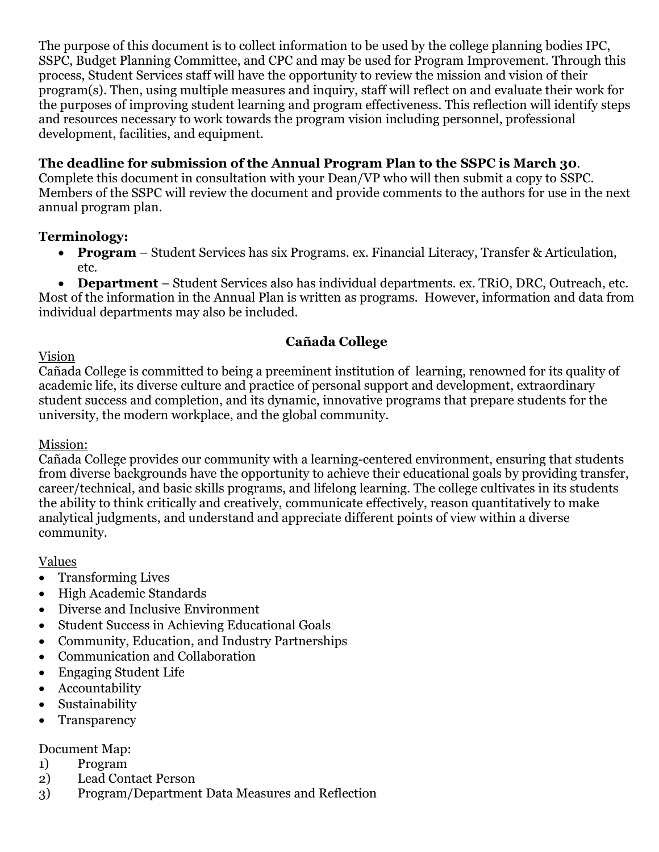The purpose of this document is to collect information to be used by the college planning bodies IPC, SSPC, Budget Planning Committee, and CPC and may be used for Program Improvement. Through this process, Student Services staff will have the opportunity to review the mission and vision of their program(s). Then, using multiple measures and inquiry, staff will reflect on and evaluate their work for the purposes of improving student learning and program effectiveness. This reflection will identify steps and resources necessary to work towards the program vision including personnel, professional development, facilities, and equipment*.* 

### **The deadline for submission of the Annual Program Plan to the SSPC is March 30**.

Complete this document in consultation with your Dean/VP who will then submit a copy to SSPC. Members of the SSPC will review the document and provide comments to the authors for use in the next annual program plan.

#### **Terminology:**

- **Program** Student Services has six Programs. ex. Financial Literacy, Transfer & Articulation, etc.
- **Department** Student Services also has individual departments. ex. TRiO, DRC, Outreach, etc.

Most of the information in the Annual Plan is written as programs. However, information and data from individual departments may also be included.

# **Cañada College**

#### Vision

Cañada College is committed to being a preeminent institution of learning, renowned for its quality of academic life, its diverse culture and practice of personal support and development, extraordinary student success and completion, and its dynamic, innovative programs that prepare students for the university, the modern workplace, and the global community.

#### Mission:

Cañada College provides our community with a learning-centered environment, ensuring that students from diverse backgrounds have the opportunity to achieve their educational goals by providing transfer, career/technical, and basic skills programs, and lifelong learning. The college cultivates in its students the ability to think critically and creatively, communicate effectively, reason quantitatively to make analytical judgments, and understand and appreciate different points of view within a diverse community.

#### Values

- Transforming Lives
- High Academic Standards
- Diverse and Inclusive Environment
- Student Success in Achieving Educational Goals
- Community, Education, and Industry Partnerships
- Communication and Collaboration
- Engaging Student Life
- Accountability
- Sustainability
- Transparency

#### Document Map:

- 1) Program
- 2) Lead Contact Person
- 3) Program/Department Data Measures and Reflection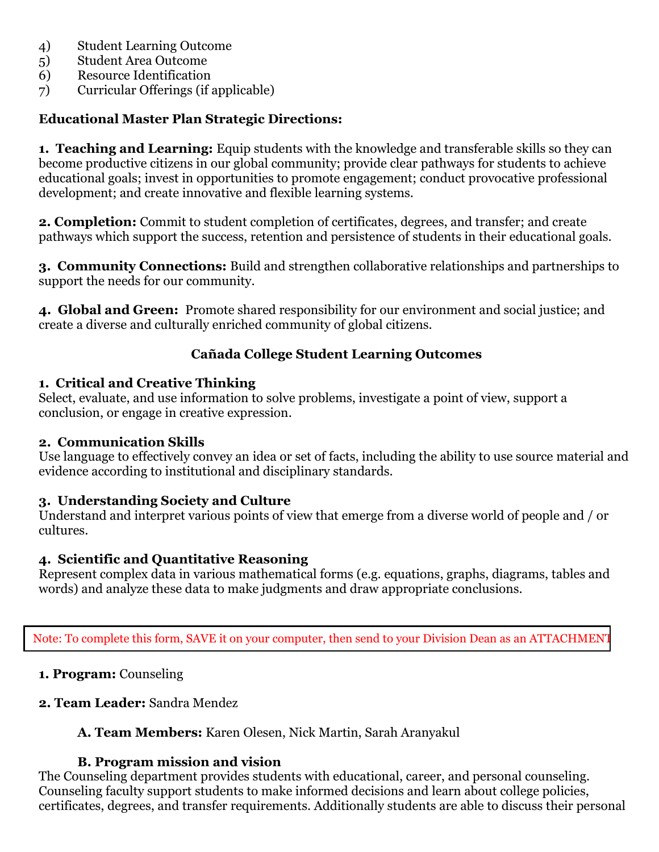- 4) Student Learning Outcome
- 5) Student Area Outcome
- 6) Resource Identification
- 7) Curricular Offerings (if applicable)

#### **Educational Master Plan Strategic Directions:**

**1. Teaching and Learning:** Equip students with the knowledge and transferable skills so they can become productive citizens in our global community; provide clear pathways for students to achieve educational goals; invest in opportunities to promote engagement; conduct provocative professional development; and create innovative and flexible learning systems.

**2. Completion:** Commit to student completion of certificates, degrees, and transfer; and create pathways which support the success, retention and persistence of students in their educational goals.

**3. Community Connections:** Build and strengthen collaborative relationships and partnerships to support the needs for our community.

**4. Global and Green:** Promote shared responsibility for our environment and social justice; and create a diverse and culturally enriched community of global citizens.

#### **Cañada College Student Learning Outcomes**

#### **1. Critical and Creative Thinking**

Select, evaluate, and use information to solve problems, investigate a point of view, support a conclusion, or engage in creative expression.

#### **2. Communication Skills**

Use language to effectively convey an idea or set of facts, including the ability to use source material and evidence according to institutional and disciplinary standards.

#### **3. Understanding Society and Culture**

Understand and interpret various points of view that emerge from a diverse world of people and / or cultures.

#### **4. Scientific and Quantitative Reasoning**

Represent complex data in various mathematical forms (e.g. equations, graphs, diagrams, tables and words) and analyze these data to make judgments and draw appropriate conclusions.

Note: To complete this form, SAVE it on your computer, then send to your Division Dean as an ATTACHMENT.

#### **1. Program:** Counseling

# **2. Team Leader:** Sandra Mendez

# **A. Team Members:** Karen Olesen, Nick Martin, Sarah Aranyakul

# **B. Program mission and vision**

The Counseling department provides students with educational, career, and personal counseling. Counseling faculty support students to make informed decisions and learn about college policies, certificates, degrees, and transfer requirements. Additionally students are able to discuss their personal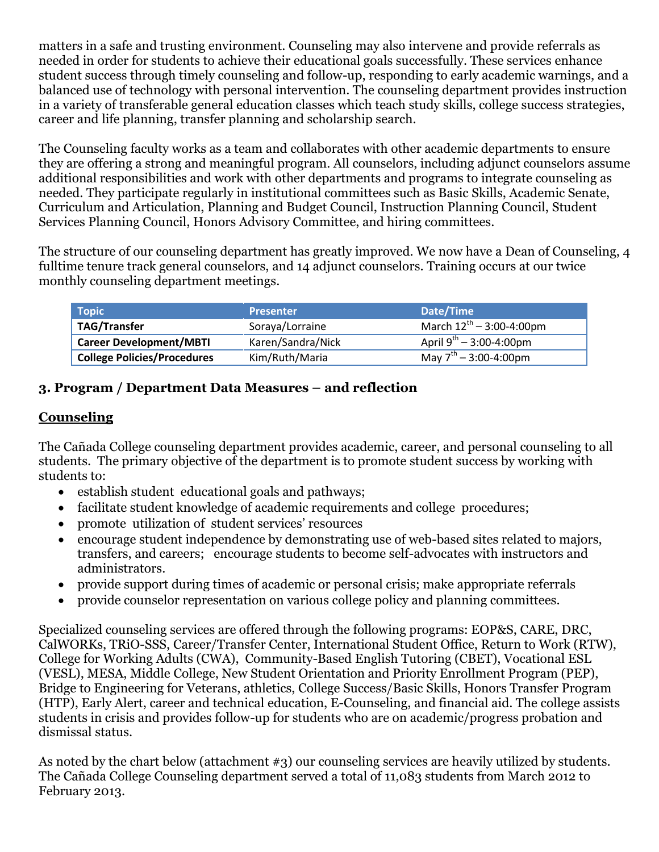matters in a safe and trusting environment. Counseling may also intervene and provide referrals as needed in order for students to achieve their educational goals successfully. These services enhance student success through timely counseling and follow-up, responding to early academic warnings, and a balanced use of technology with personal intervention. The counseling department provides instruction in a variety of transferable general education classes which teach study skills, college success strategies, career and life planning, transfer planning and scholarship search.

The Counseling faculty works as a team and collaborates with other academic departments to ensure they are offering a strong and meaningful program. All counselors, including adjunct counselors assume additional responsibilities and work with other departments and programs to integrate counseling as needed. They participate regularly in institutional committees such as Basic Skills, Academic Senate, Curriculum and Articulation, Planning and Budget Council, Instruction Planning Council, Student Services Planning Council, Honors Advisory Committee, and hiring committees.

The structure of our counseling department has greatly improved. We now have a Dean of Counseling, 4 fulltime tenure track general counselors, and 14 adjunct counselors. Training occurs at our twice monthly counseling department meetings.

| <b>Topic</b>                       | <b>Presenter</b>  | Date/Time                         |
|------------------------------------|-------------------|-----------------------------------|
| <b>TAG/Transfer</b>                | Soraya/Lorraine   | March $12^{th} - 3:00 - 4:00$ pm  |
| <b>Career Development/MBTI</b>     | Karen/Sandra/Nick | April $9^{th}$ – 3:00-4:00pm      |
| <b>College Policies/Procedures</b> | Kim/Ruth/Maria    | May $7^{\text{th}}$ - 3:00-4:00pm |

# **3. Program / Department Data Measures – and reflection**

#### **Counseling**

The Cañada College counseling department provides academic, career, and personal counseling to all students. The primary objective of the department is to promote student success by working with students to:

- establish student educational goals and pathways;
- facilitate student knowledge of academic requirements and college procedures;
- promote utilization of student services' resources
- encourage student independence by demonstrating use of web-based sites related to majors, transfers, and careers; encourage students to become self-advocates with instructors and administrators.
- provide support during times of academic or personal crisis; make appropriate referrals
- provide counselor representation on various college policy and planning committees.

Specialized counseling services are offered through the following programs: EOP&S, CARE, DRC, CalWORKs, TRiO-SSS, Career/Transfer Center, International Student Office, Return to Work (RTW), College for Working Adults (CWA), Community-Based English Tutoring (CBET), Vocational ESL (VESL), MESA, Middle College, New Student Orientation and Priority Enrollment Program (PEP), Bridge to Engineering for Veterans, athletics, College Success/Basic Skills, Honors Transfer Program (HTP), Early Alert, career and technical education, E-Counseling, and financial aid. The college assists students in crisis and provides follow-up for students who are on academic/progress probation and dismissal status.

As noted by the chart below (attachment #3) our counseling services are heavily utilized by students. The Cañada College Counseling department served a total of 11,083 students from March 2012 to February 2013.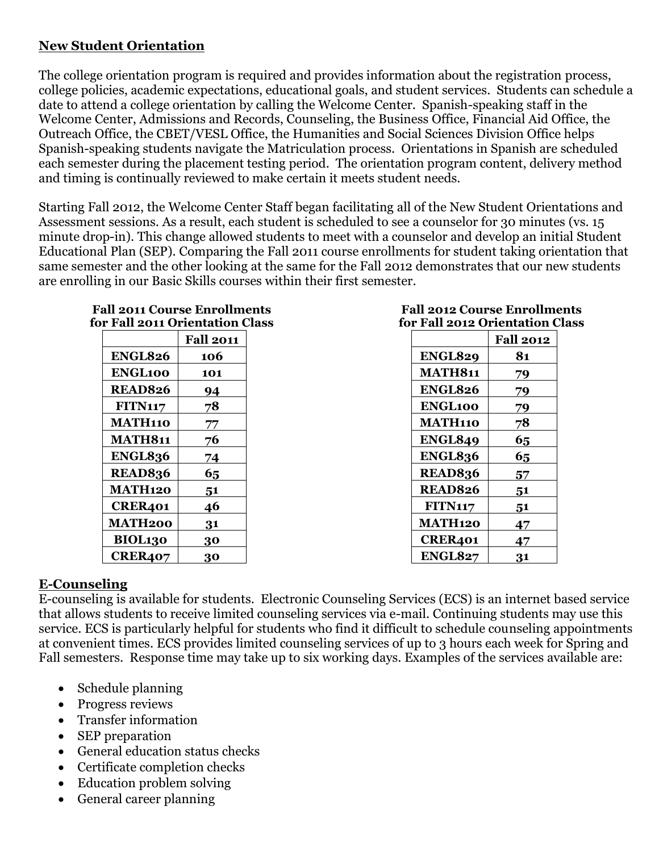# **New Student Orientation**

The college orientation program is required and provides information about the registration process, college policies, academic expectations, educational goals, and student services. Students can schedule a date to attend a college orientation by calling the Welcome Center. Spanish-speaking staff in the Welcome Center, Admissions and Records, Counseling, the Business Office, Financial Aid Office, the Outreach Office, the CBET/VESL Office, the Humanities and Social Sciences Division Office helps Spanish-speaking students navigate the Matriculation process. Orientations in Spanish are scheduled each semester during the placement testing period. The orientation program content, delivery method and timing is continually reviewed to make certain it meets student needs.

Starting Fall 2012, the Welcome Center Staff began facilitating all of the New Student Orientations and Assessment sessions. As a result, each student is scheduled to see a counselor for 30 minutes (vs. 15 minute drop-in). This change allowed students to meet with a counselor and develop an initial Student Educational Plan (SEP). Comparing the Fall 2011 course enrollments for student taking orientation that same semester and the other looking at the same for the Fall 2012 demonstrates that our new students are enrolling in our Basic Skills courses within their first semester.

| for Fall 2011 Orientation Class |                  |  |
|---------------------------------|------------------|--|
|                                 | <b>Fall 2011</b> |  |
| <b>ENGL826</b>                  | 106              |  |
| <b>ENGL100</b>                  | 101              |  |
| <b>READ826</b>                  | 94               |  |
| <b>FITN117</b>                  | 78               |  |
| <b>MATH110</b>                  | 77               |  |
| <b>MATH811</b>                  | 76               |  |
| <b>ENGL836</b>                  | 74               |  |
| <b>READ836</b>                  | 65               |  |
| <b>MATH120</b>                  | 51               |  |
| CRER401                         | 46               |  |
| MATH200                         | 31               |  |
| BIOL130                         | 30               |  |
| <b>CRER407</b>                  | 30               |  |

# **Fall 2011 Course Enrollments**

#### **Fall 2012 Course Enrollments for Fall 2012 Orientation Class**

|                | <b>Fall 2012</b> |
|----------------|------------------|
| <b>ENGL829</b> | 81               |
| <b>MATH811</b> | 79               |
| <b>ENGL826</b> | 79               |
| <b>ENGL100</b> | 79               |
| <b>MATH110</b> | 78               |
| <b>ENGL849</b> | 65               |
| <b>ENGL836</b> | 65               |
| <b>READ836</b> | 57               |
| <b>READ826</b> | 51               |
| <b>FITN117</b> | 51               |
| <b>MATH120</b> | 47               |
| CRER401        | 47               |
| <b>ENGL827</b> | 31               |

# **E-Counseling**

E-counseling is available for students. Electronic Counseling Services (ECS) is an internet based service that allows students to receive limited counseling services via e-mail. Continuing students may use this service. ECS is particularly helpful for students who find it difficult to schedule counseling appointments at convenient times. ECS provides limited counseling services of up to 3 hours each week for Spring and Fall semesters. Response time may take up to six working days. Examples of the services available are:

- Schedule planning
- Progress reviews
- Transfer information
- SEP preparation
- General education status checks
- Certificate completion checks
- Education problem solving
- General career planning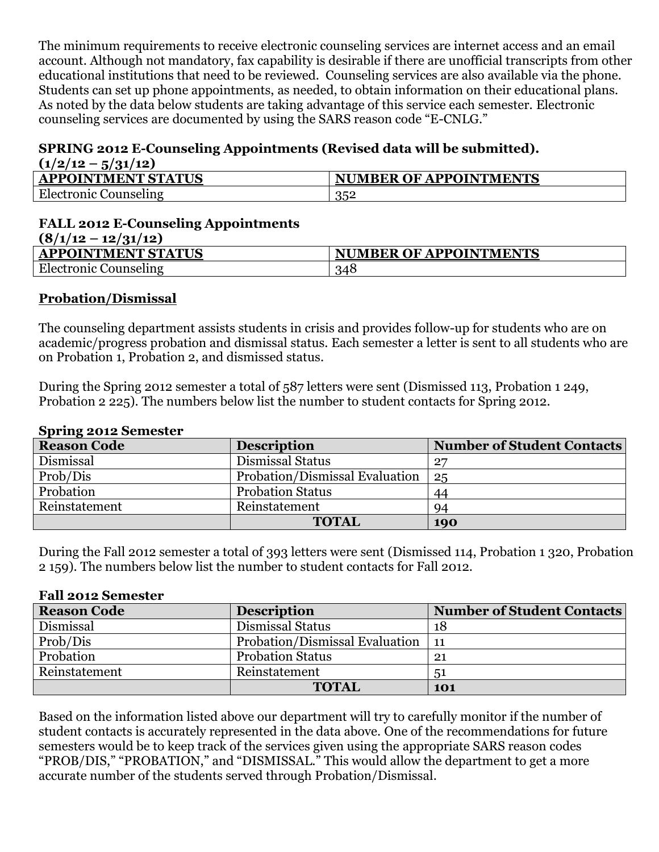The minimum requirements to receive electronic counseling services are internet access and an email account. Although not mandatory, fax capability is desirable if there are unofficial transcripts from other educational institutions that need to be reviewed. Counseling services are also available via the phone. Students can set up phone appointments, as needed, to obtain information on their educational plans. As noted by the data below students are taking advantage of this service each semester. Electronic counseling services are documented by using the SARS reason code "E-CNLG."

#### **SPRING 2012 E-Counseling Appointments (Revised data will be submitted).**  $(1/2/12 - 5/21/12)$

| $(1/2)$ 12 $-$ 3/31/12)   |                               |
|---------------------------|-------------------------------|
| <b>APPOINTMENT STATUS</b> | <b>NUMBER OF APPOINTMENTS</b> |
| Electronic Counseling     | 352                           |

#### **FALL 2012 E-Counseling Appointments (8/1/12 – 12/31/12)**

| $1 - 1 - 1$<br>$-10 - 1 - 1$ |                               |
|------------------------------|-------------------------------|
| <b>APPOINTMENT STATUS</b>    | <b>NUMBER OF APPOINTMENTS</b> |
| Electronic<br>. Counseling   | 348                           |
|                              |                               |

#### **Probation/Dismissal**

The counseling department assists students in crisis and provides follow-up for students who are on academic/progress probation and dismissal status. Each semester a letter is sent to all students who are on Probation 1, Probation 2, and dismissed status.

During the Spring 2012 semester a total of 587 letters were sent (Dismissed 113, Probation 1 249, Probation 2 225). The numbers below list the number to student contacts for Spring 2012.

#### **Spring 2012 Semester**

| <b>Reason Code</b> | <b>Description</b>             | <b>Number of Student Contacts</b> |
|--------------------|--------------------------------|-----------------------------------|
| Dismissal          | Dismissal Status               | 27                                |
| Prob/Dis           | Probation/Dismissal Evaluation | 25                                |
| Probation          | <b>Probation Status</b>        | 44                                |
| Reinstatement      | Reinstatement                  | 94                                |
|                    | <b>TOTAL</b>                   | 190                               |

During the Fall 2012 semester a total of 393 letters were sent (Dismissed 114, Probation 1 320, Probation 2 159). The numbers below list the number to student contacts for Fall 2012.

#### **Fall 2012 Semester**

| <b>Reason Code</b> | <b>Description</b>             | <b>Number of Student Contacts</b> |
|--------------------|--------------------------------|-----------------------------------|
| Dismissal          | Dismissal Status               | 18                                |
| Prob/Dis           | Probation/Dismissal Evaluation | -11                               |
| Probation          | <b>Probation Status</b>        | 21                                |
| Reinstatement      | Reinstatement                  | 5 <sup>1</sup>                    |
|                    | <b>TOTAL</b>                   | 101                               |

Based on the information listed above our department will try to carefully monitor if the number of student contacts is accurately represented in the data above. One of the recommendations for future semesters would be to keep track of the services given using the appropriate SARS reason codes "PROB/DIS," "PROBATION," and "DISMISSAL." This would allow the department to get a more accurate number of the students served through Probation/Dismissal.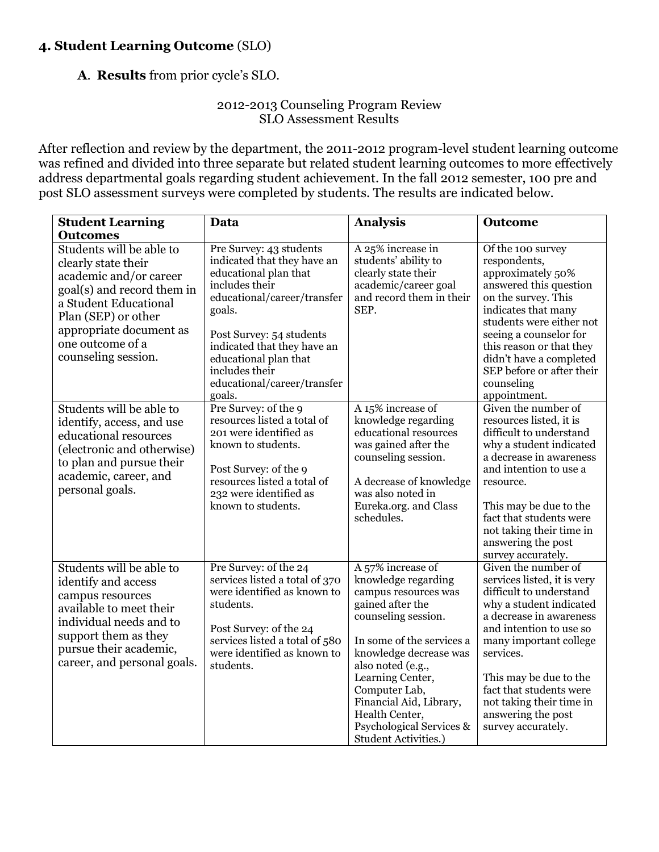# **4. Student Learning Outcome** (SLO)

**A**. **Results** from prior cycle's SLO.

#### 2012-2013 Counseling Program Review SLO Assessment Results

After reflection and review by the department, the 2011-2012 program-level student learning outcome was refined and divided into three separate but related student learning outcomes to more effectively address departmental goals regarding student achievement. In the fall 2012 semester, 100 pre and post SLO assessment surveys were completed by students. The results are indicated below.

| <b>Student Learning</b><br><b>Outcomes</b>                                                                                                                                                                                    | Data                                                                                                                                                                                                                                                                                      | <b>Analysis</b>                                                                                                                                                                                                                                                                                                                      | <b>Outcome</b>                                                                                                                                                                                                                                                                                                                     |
|-------------------------------------------------------------------------------------------------------------------------------------------------------------------------------------------------------------------------------|-------------------------------------------------------------------------------------------------------------------------------------------------------------------------------------------------------------------------------------------------------------------------------------------|--------------------------------------------------------------------------------------------------------------------------------------------------------------------------------------------------------------------------------------------------------------------------------------------------------------------------------------|------------------------------------------------------------------------------------------------------------------------------------------------------------------------------------------------------------------------------------------------------------------------------------------------------------------------------------|
| Students will be able to<br>clearly state their<br>academic and/or career<br>goal(s) and record them in<br>a Student Educational<br>Plan (SEP) or other<br>appropriate document as<br>one outcome of a<br>counseling session. | Pre Survey: 43 students<br>indicated that they have an<br>educational plan that<br>includes their<br>educational/career/transfer<br>goals.<br>Post Survey: 54 students<br>indicated that they have an<br>educational plan that<br>includes their<br>educational/career/transfer<br>goals. | A 25% increase in<br>students' ability to<br>clearly state their<br>academic/career goal<br>and record them in their<br>SEP.                                                                                                                                                                                                         | Of the 100 survey<br>respondents,<br>approximately 50%<br>answered this question<br>on the survey. This<br>indicates that many<br>students were either not<br>seeing a counselor for<br>this reason or that they<br>didn't have a completed<br>SEP before or after their<br>counseling<br>appointment.                             |
| Students will be able to<br>identify, access, and use<br>educational resources<br>(electronic and otherwise)<br>to plan and pursue their<br>academic, career, and<br>personal goals.                                          | Pre Survey: of the 9<br>resources listed a total of<br>201 were identified as<br>known to students.<br>Post Survey: of the 9<br>resources listed a total of<br>232 were identified as<br>known to students.                                                                               | A 15% increase of<br>knowledge regarding<br>educational resources<br>was gained after the<br>counseling session.<br>A decrease of knowledge<br>was also noted in<br>Eureka.org. and Class<br>schedules.                                                                                                                              | Given the number of<br>resources listed, it is<br>difficult to understand<br>why a student indicated<br>a decrease in awareness<br>and intention to use a<br>resource.<br>This may be due to the<br>fact that students were<br>not taking their time in<br>answering the post<br>survey accurately.                                |
| Students will be able to<br>identify and access<br>campus resources<br>available to meet their<br>individual needs and to<br>support them as they<br>pursue their academic,<br>career, and personal goals.                    | Pre Survey: of the 24<br>services listed a total of 370<br>were identified as known to<br>students.<br>Post Survey: of the 24<br>services listed a total of 580<br>were identified as known to<br>students.                                                                               | A 57% increase of<br>knowledge regarding<br>campus resources was<br>gained after the<br>counseling session.<br>In some of the services a<br>knowledge decrease was<br>also noted (e.g.,<br>Learning Center,<br>Computer Lab,<br>Financial Aid, Library,<br>Health Center,<br>Psychological Services &<br><b>Student Activities.)</b> | Given the number of<br>services listed, it is very<br>difficult to understand<br>why a student indicated<br>a decrease in awareness<br>and intention to use so<br>many important college<br>services.<br>This may be due to the<br>fact that students were<br>not taking their time in<br>answering the post<br>survey accurately. |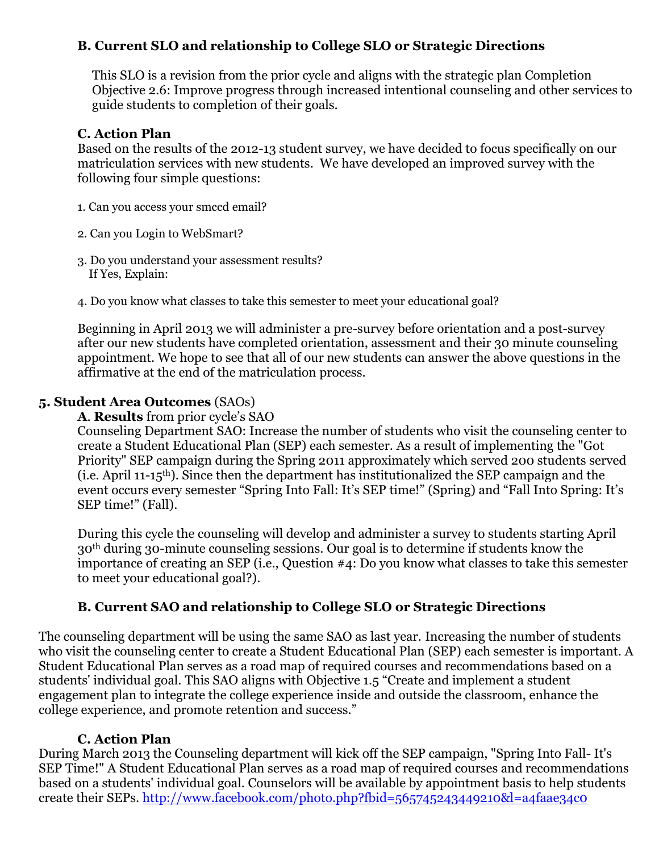### **B. Current SLO and relationship to College SLO or Strategic Directions**

This SLO is a revision from the prior cycle and aligns with the strategic plan Completion Objective 2.6: Improve progress through increased intentional counseling and other services to guide students to completion of their goals.

#### **C. Action Plan**

Based on the results of the 2012-13 student survey, we have decided to focus specifically on our matriculation services with new students. We have developed an improved survey with the following four simple questions:

- 1. Can you access your smccd email?
- 2. Can you Login to WebSmart?
- 3. Do you understand your assessment results? If Yes, Explain:
- 4. Do you know what classes to take this semester to meet your educational goal?

Beginning in April 2013 we will administer a pre-survey before orientation and a post-survey after our new students have completed orientation, assessment and their 30 minute counseling appointment. We hope to see that all of our new students can answer the above questions in the affirmative at the end of the matriculation process.

#### **5. Student Area Outcomes** (SAOs)

#### **A**. **Results** from prior cycle's SAO

Counseling Department SAO: Increase the number of students who visit the counseling center to create a Student Educational Plan (SEP) each semester. As a result of implementing the "Got Priority" SEP campaign during the Spring 2011 approximately which served 200 students served (i.e. April 11-15th). Since then the department has institutionalized the SEP campaign and the event occurs every semester "Spring Into Fall: It's SEP time!" (Spring) and "Fall Into Spring: It's SEP time!" (Fall).

During this cycle the counseling will develop and administer a survey to students starting April 30th during 30-minute counseling sessions. Our goal is to determine if students know the importance of creating an SEP (i.e., Question #4: Do you know what classes to take this semester to meet your educational goal?).

#### **B. Current SAO and relationship to College SLO or Strategic Directions**

The counseling department will be using the same SAO as last year. Increasing the number of students who visit the counseling center to create a Student Educational Plan (SEP) each semester is important. A Student Educational Plan serves as a road map of required courses and recommendations based on a students' individual goal. This SAO aligns with Objective 1.5 "Create and implement a student engagement plan to integrate the college experience inside and outside the classroom, enhance the college experience, and promote retention and success."

#### **C. Action Plan**

During March 2013 the Counseling department will kick off the SEP campaign, "Spring Into Fall- It's SEP Time!" A Student Educational Plan serves as a road map of required courses and recommendations based on a students' individual goal. Counselors will be available by appointment basis to help students create their SEPs. <http://www.facebook.com/photo.php?fbid=565745243449210&l=a4faae34c0>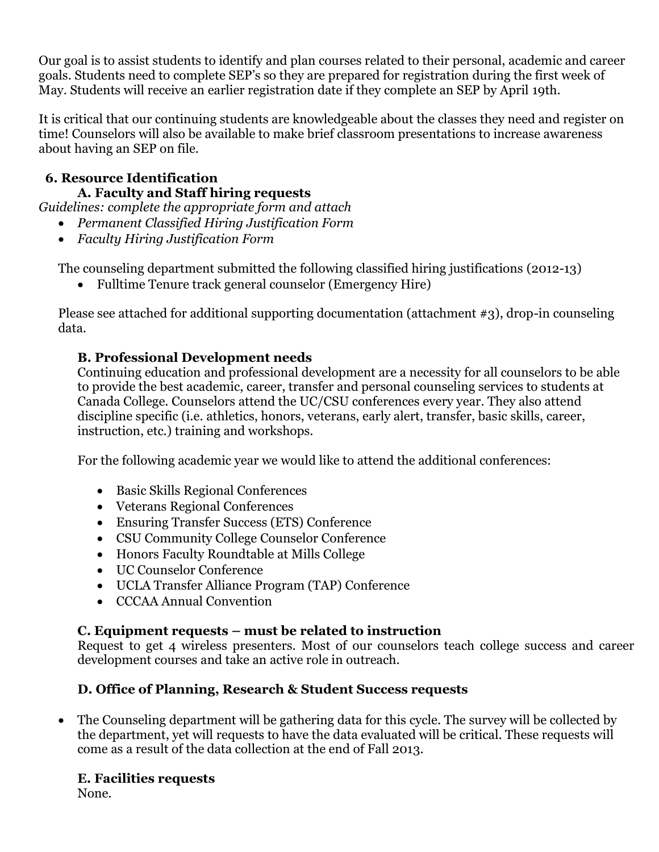Our goal is to assist students to identify and plan courses related to their personal, academic and career goals. Students need to complete SEP's so they are prepared for registration during the first week of May. Students will receive an earlier registration date if they complete an SEP by April 19th.

It is critical that our continuing students are knowledgeable about the classes they need and register on time! Counselors will also be available to make brief classroom presentations to increase awareness about having an SEP on file.

### **6. Resource Identification A. Faculty and Staff hiring requests**

*Guidelines: complete the appropriate form and attach* 

- *Permanent Classified Hiring Justification Form*
- *Faculty Hiring Justification Form*

The counseling department submitted the following classified hiring justifications (2012-13)

Fulltime Tenure track general counselor (Emergency Hire)

Please see attached for additional supporting documentation (attachment #3), drop-in counseling data.

# **B. Professional Development needs**

Continuing education and professional development are a necessity for all counselors to be able to provide the best academic, career, transfer and personal counseling services to students at Canada College. Counselors attend the UC/CSU conferences every year. They also attend discipline specific (i.e. athletics, honors, veterans, early alert, transfer, basic skills, career, instruction, etc.) training and workshops.

For the following academic year we would like to attend the additional conferences:

- Basic Skills Regional Conferences
- Veterans Regional Conferences
- Ensuring Transfer Success (ETS) Conference
- CSU Community College Counselor Conference
- Honors Faculty Roundtable at Mills College
- UC Counselor Conference
- UCLA Transfer Alliance Program (TAP) Conference
- CCCAA Annual Convention

# **C. Equipment requests – must be related to instruction**

Request to get 4 wireless presenters. Most of our counselors teach college success and career development courses and take an active role in outreach.

# **D. Office of Planning, Research & Student Success requests**

 The Counseling department will be gathering data for this cycle. The survey will be collected by the department, yet will requests to have the data evaluated will be critical. These requests will come as a result of the data collection at the end of Fall 2013.

# **E. Facilities requests**

None.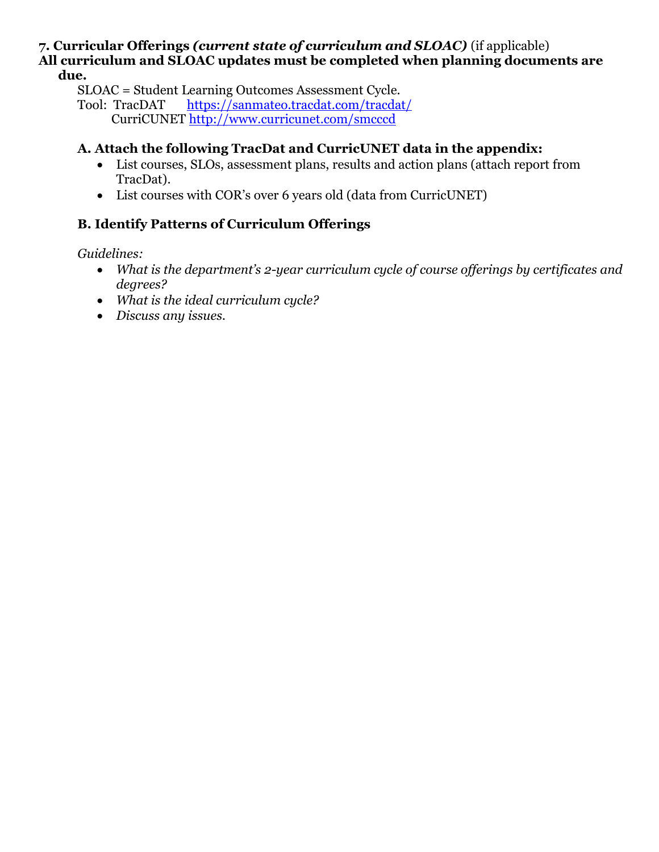#### **7. Curricular Offerings** *(current state of curriculum and SLOAC)* (if applicable) **All curriculum and SLOAC updates must be completed when planning documents are due.**

SLOAC = Student Learning Outcomes Assessment Cycle.

#### **A. Attach the following TracDat and CurricUNET data in the appendix:**

- List courses, SLOs, assessment plans, results and action plans (attach report from TracDat).
- List courses with COR's over 6 years old (data from CurricUNET)

# **B. Identify Patterns of Curriculum Offerings**

*Guidelines:* 

- *What is the department's 2-year curriculum cycle of course offerings by certificates and degrees?*
- *What is the ideal curriculum cycle?*
- *Discuss any issues.*

Tool: TracDAT <https://sanmateo.tracdat.com/tracdat/> CurriCUNET<http://www.curricunet.com/smcccd>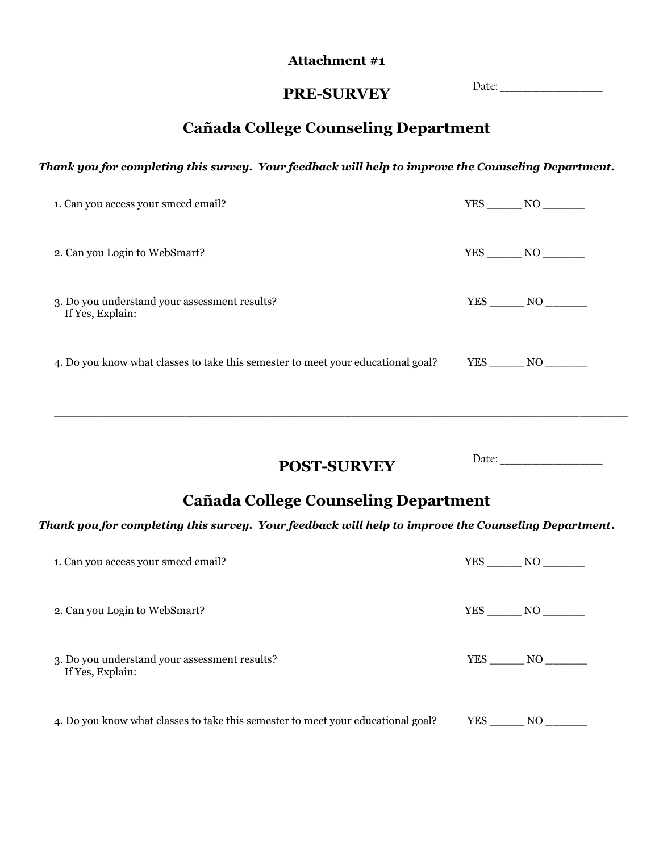#### **Attachment #1**

Date: \_\_\_\_\_\_\_\_\_\_\_\_\_\_\_\_\_\_\_\_\_\_\_

# **PRE-SURVEY**

# **Cañada College Counseling Department**

#### *Thank you for completing this survey. Your feedback will help to improve the Counseling Department***.**

| 1. Can you access your smccd email?                                              | YES NO            |
|----------------------------------------------------------------------------------|-------------------|
| 2. Can you Login to WebSmart?                                                    | $YES$ NO $\qquad$ |
| 3. Do you understand your assessment results?<br>If Yes, Explain:                | $YES$ NO          |
| 4. Do you know what classes to take this semester to meet your educational goal? |                   |

**POST-SURVEY** Date: \_\_\_\_\_\_\_\_\_\_\_\_\_\_\_\_\_\_\_\_\_\_\_

# **Cañada College Counseling Department**

\_\_\_\_\_\_\_\_\_\_\_\_\_\_\_\_\_\_\_\_\_\_\_\_\_\_\_\_\_\_\_\_\_\_\_\_\_\_\_\_\_\_\_\_\_\_\_\_\_\_\_\_\_\_\_\_\_\_\_\_\_\_\_\_\_\_\_\_\_\_\_\_\_\_\_\_\_\_\_\_\_\_\_

#### *Thank you for completing this survey. Your feedback will help to improve the Counseling Department***.**

| 1. Can you access your smccd email?                                              |        | YES NO |
|----------------------------------------------------------------------------------|--------|--------|
| 2. Can you Login to WebSmart?                                                    | YES NO |        |
| 3. Do you understand your assessment results?<br>If Yes, Explain:                |        | YES NO |
| 4. Do you know what classes to take this semester to meet your educational goal? | YES    | NO.    |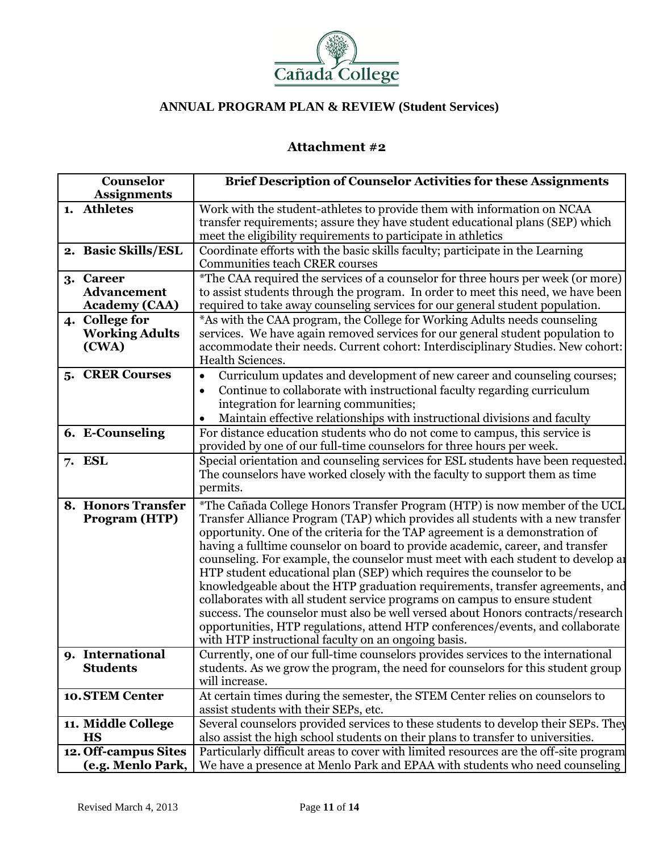

### **Attachment #2**

| Counselor                                               | <b>Brief Description of Counselor Activities for these Assignments</b>                                                                                                                                                                                                                                                                                                                                                                                                                                                                                                                                                                                                                                                                                                                                                                                                                  |
|---------------------------------------------------------|-----------------------------------------------------------------------------------------------------------------------------------------------------------------------------------------------------------------------------------------------------------------------------------------------------------------------------------------------------------------------------------------------------------------------------------------------------------------------------------------------------------------------------------------------------------------------------------------------------------------------------------------------------------------------------------------------------------------------------------------------------------------------------------------------------------------------------------------------------------------------------------------|
| <b>Assignments</b>                                      |                                                                                                                                                                                                                                                                                                                                                                                                                                                                                                                                                                                                                                                                                                                                                                                                                                                                                         |
| 1. Athletes                                             | Work with the student-athletes to provide them with information on NCAA<br>transfer requirements; assure they have student educational plans (SEP) which<br>meet the eligibility requirements to participate in athletics                                                                                                                                                                                                                                                                                                                                                                                                                                                                                                                                                                                                                                                               |
| 2. Basic Skills/ESL                                     | Coordinate efforts with the basic skills faculty; participate in the Learning<br><b>Communities teach CRER courses</b>                                                                                                                                                                                                                                                                                                                                                                                                                                                                                                                                                                                                                                                                                                                                                                  |
| 3. Career<br><b>Advancement</b><br><b>Academy (CAA)</b> | *The CAA required the services of a counselor for three hours per week (or more)<br>to assist students through the program. In order to meet this need, we have been<br>required to take away counseling services for our general student population.                                                                                                                                                                                                                                                                                                                                                                                                                                                                                                                                                                                                                                   |
| 4. College for<br><b>Working Adults</b><br>(CWA)        | *As with the CAA program, the College for Working Adults needs counseling<br>services. We have again removed services for our general student population to<br>accommodate their needs. Current cohort: Interdisciplinary Studies. New cohort:<br>Health Sciences.                                                                                                                                                                                                                                                                                                                                                                                                                                                                                                                                                                                                                      |
| 5. CRER Courses                                         | Curriculum updates and development of new career and counseling courses;<br>Continue to collaborate with instructional faculty regarding curriculum<br>$\bullet$<br>integration for learning communities;<br>Maintain effective relationships with instructional divisions and faculty                                                                                                                                                                                                                                                                                                                                                                                                                                                                                                                                                                                                  |
| 6. E-Counseling                                         | For distance education students who do not come to campus, this service is<br>provided by one of our full-time counselors for three hours per week.                                                                                                                                                                                                                                                                                                                                                                                                                                                                                                                                                                                                                                                                                                                                     |
| 7. ESL                                                  | Special orientation and counseling services for ESL students have been requested.<br>The counselors have worked closely with the faculty to support them as time<br>permits.                                                                                                                                                                                                                                                                                                                                                                                                                                                                                                                                                                                                                                                                                                            |
| 8. Honors Transfer<br>Program (HTP)                     | *The Cañada College Honors Transfer Program (HTP) is now member of the UCL<br>Transfer Alliance Program (TAP) which provides all students with a new transfer<br>opportunity. One of the criteria for the TAP agreement is a demonstration of<br>having a fulltime counselor on board to provide academic, career, and transfer<br>counseling. For example, the counselor must meet with each student to develop an<br>HTP student educational plan (SEP) which requires the counselor to be<br>knowledgeable about the HTP graduation requirements, transfer agreements, and<br>collaborates with all student service programs on campus to ensure student<br>success. The counselor must also be well versed about Honors contracts/research<br>opportunities, HTP regulations, attend HTP conferences/events, and collaborate<br>with HTP instructional faculty on an ongoing basis. |
| 9. International<br><b>Students</b>                     | Currently, one of our full-time counselors provides services to the international<br>students. As we grow the program, the need for counselors for this student group<br>will increase.                                                                                                                                                                                                                                                                                                                                                                                                                                                                                                                                                                                                                                                                                                 |
| 10. STEM Center                                         | At certain times during the semester, the STEM Center relies on counselors to<br>assist students with their SEPs, etc.                                                                                                                                                                                                                                                                                                                                                                                                                                                                                                                                                                                                                                                                                                                                                                  |
| 11. Middle College<br><b>HS</b>                         | Several counselors provided services to these students to develop their SEPs. They<br>also assist the high school students on their plans to transfer to universities.                                                                                                                                                                                                                                                                                                                                                                                                                                                                                                                                                                                                                                                                                                                  |
| 12. Off-campus Sites<br>(e.g. Menlo Park,               | Particularly difficult areas to cover with limited resources are the off-site program<br>We have a presence at Menlo Park and EPAA with students who need counseling                                                                                                                                                                                                                                                                                                                                                                                                                                                                                                                                                                                                                                                                                                                    |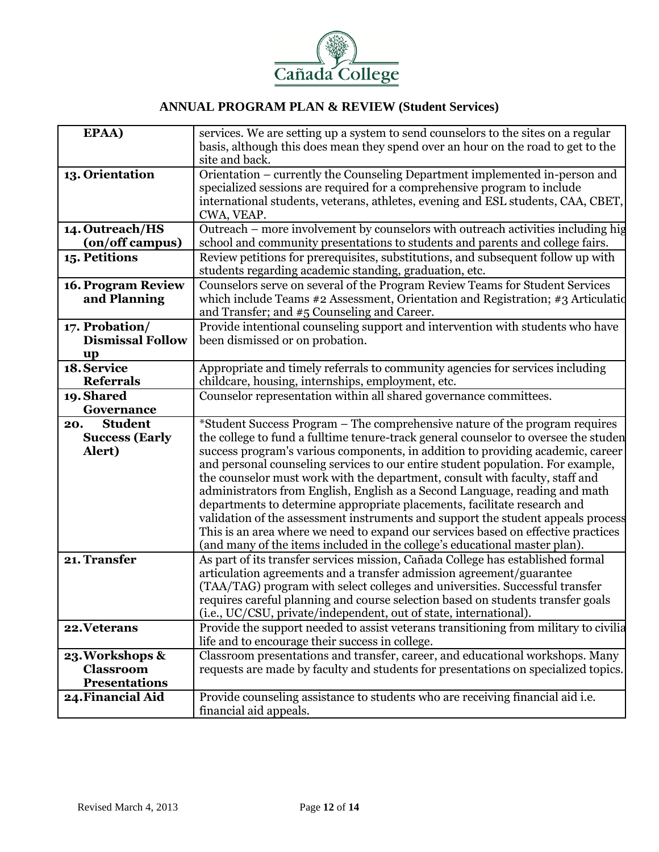

| EPAA)                   | services. We are setting up a system to send counselors to the sites on a regular    |
|-------------------------|--------------------------------------------------------------------------------------|
|                         | basis, although this does mean they spend over an hour on the road to get to the     |
|                         | site and back.                                                                       |
| 13. Orientation         | Orientation – currently the Counseling Department implemented in-person and          |
|                         | specialized sessions are required for a comprehensive program to include             |
|                         | international students, veterans, athletes, evening and ESL students, CAA, CBET,     |
|                         |                                                                                      |
|                         | CWA, VEAP.                                                                           |
| 14. Outreach/HS         | Outreach – more involvement by counselors with outreach activities including hig     |
| (on/off campus)         | school and community presentations to students and parents and college fairs.        |
| 15. Petitions           | Review petitions for prerequisites, substitutions, and subsequent follow up with     |
|                         | students regarding academic standing, graduation, etc.                               |
| 16. Program Review      | Counselors serve on several of the Program Review Teams for Student Services         |
| and Planning            | which include Teams #2 Assessment, Orientation and Registration; #3 Articulatio      |
|                         | and Transfer; and #5 Counseling and Career.                                          |
| 17. Probation/          | Provide intentional counseling support and intervention with students who have       |
| <b>Dismissal Follow</b> |                                                                                      |
|                         | been dismissed or on probation.                                                      |
| up                      |                                                                                      |
| 18. Service             | Appropriate and timely referrals to community agencies for services including        |
| <b>Referrals</b>        | childcare, housing, internships, employment, etc.                                    |
| 19. Shared              | Counselor representation within all shared governance committees.                    |
| Governance              |                                                                                      |
| <b>Student</b><br>20.   | *Student Success Program – The comprehensive nature of the program requires          |
| <b>Success (Early</b>   | the college to fund a fulltime tenure-track general counselor to oversee the studen  |
| Alert)                  | success program's various components, in addition to providing academic, career      |
|                         | and personal counseling services to our entire student population. For example,      |
|                         | the counselor must work with the department, consult with faculty, staff and         |
|                         | administrators from English, English as a Second Language, reading and math          |
|                         | departments to determine appropriate placements, facilitate research and             |
|                         |                                                                                      |
|                         | validation of the assessment instruments and support the student appeals process     |
|                         | This is an area where we need to expand our services based on effective practices    |
|                         | (and many of the items included in the college's educational master plan).           |
| 21. Transfer            | As part of its transfer services mission, Cañada College has established formal      |
|                         | articulation agreements and a transfer admission agreement/guarantee                 |
|                         | (TAA/TAG) program with select colleges and universities. Successful transfer         |
|                         | requires careful planning and course selection based on students transfer goals      |
|                         | (i.e., UC/CSU, private/independent, out of state, international).                    |
| 22. Veterans            | Provide the support needed to assist veterans transitioning from military to civilia |
|                         | life and to encourage their success in college.                                      |
| 23. Workshops &         | Classroom presentations and transfer, career, and educational workshops. Many        |
| <b>Classroom</b>        | requests are made by faculty and students for presentations on specialized topics.   |
| <b>Presentations</b>    |                                                                                      |
|                         |                                                                                      |
| 24. Financial Aid       | Provide counseling assistance to students who are receiving financial aid i.e.       |
|                         | financial aid appeals.                                                               |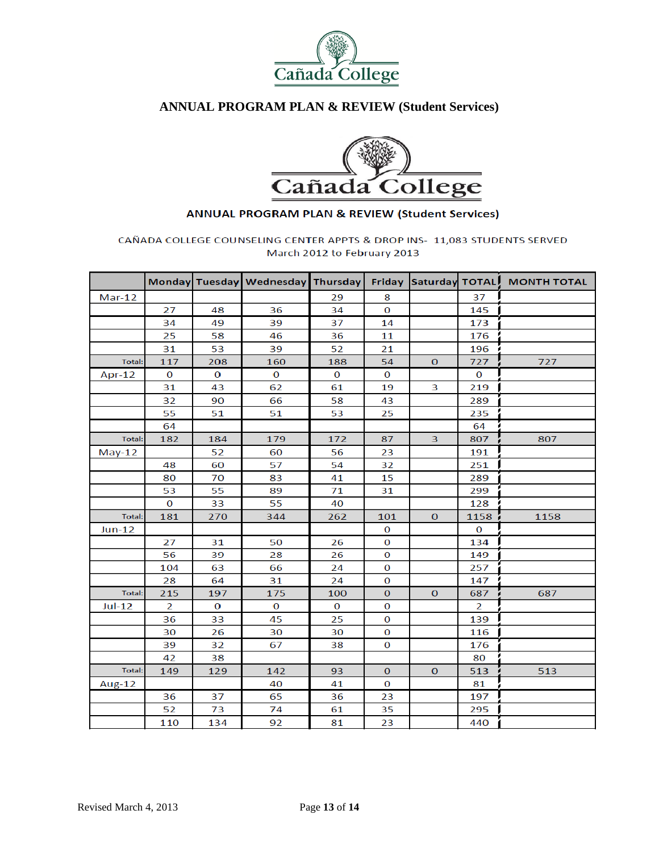



#### **ANNUAL PROGRAM PLAN & REVIEW (Student Services)**

#### CAÑADA COLLEGE COUNSELING CENTER APPTS & DROP INS- 11,083 STUDENTS SERVED March 2012 to February 2013

|               |                |          | Monday Tuesday Wednesday Thursday |          |              |                         |                | Friday Saturday TOTAL MONTH TOTAL |
|---------------|----------------|----------|-----------------------------------|----------|--------------|-------------------------|----------------|-----------------------------------|
| $Mar-12$      |                |          |                                   | 29       | 8            |                         | 37             |                                   |
|               | 27             | 48       | 36                                | 34       | $\bf{0}$     |                         | 145            |                                   |
|               | 34             | 49       | 39                                | 37       | 14           |                         | 173            |                                   |
|               | 25             | 58       | 46                                | 36       | 11           |                         | 176            |                                   |
|               | 31             | 53       | 39                                | 52       | 21           |                         | 196            |                                   |
| <b>Total:</b> | 117            | 208      | 160                               | 188      | 54           | $\mathbf{0}$            | 727            | 727                               |
| Apr-12        | $\bf{O}$       | $\bf{0}$ | $\bf{O}$                          | $\bf{O}$ | $\bf{0}$     |                         | $\Omega$       |                                   |
|               | 31             | 43       | 62                                | 61       | 19           | 3                       | 219            |                                   |
|               | 32             | 90       | 66                                | 58       | 43           |                         | 289            |                                   |
|               | 55             | 51       | 51                                | 53       | 25           |                         | 235            |                                   |
|               | 64             |          |                                   |          |              |                         | 64             |                                   |
| <b>Total:</b> | 182            | 184      | 179                               | 172      | 87           | $\overline{\mathbf{3}}$ | 807            | 807                               |
| $May-12$      |                | 52       | 60                                | 56       | 23           |                         | 191            |                                   |
|               | 48             | 60       | 57                                | 54       | 32           |                         | 251            |                                   |
|               | 80             | 70       | 83                                | 41       | 15           |                         | 289            |                                   |
|               | 53             | 55       | 89                                | 71       | 31           |                         | 299            |                                   |
|               | $\bf{O}$       | 33       | 55                                | 40       |              |                         | 128            |                                   |
| <b>Total:</b> | 181            | 270      | 344                               | 262      | 101          | $\mathbf{O}$            | 1158           | 1158                              |
| $Jun-12$      |                |          |                                   |          | 0            |                         | $\bf{0}$       |                                   |
|               | 27             | 31       | 50                                | 26       | 0            |                         | 134            |                                   |
|               | 56             | 39       | 28                                | 26       | $\bf{0}$     |                         | 149            |                                   |
|               | 104            | 63       | 66                                | 24       | $\bf{O}$     |                         | 257            |                                   |
|               | 28             | 64       | 31                                | 24       | $\bf{O}$     |                         | 147            |                                   |
| <b>Total:</b> | 215            | 197      | 175                               | 100      | $\mathbf{O}$ | $\mathbf{O}$            | 687            | 687                               |
| $Jul-12$      | $\overline{2}$ | $\bf{0}$ | $\bf{O}$                          | $\bf{O}$ | $\bf{O}$     |                         | $\overline{2}$ |                                   |
|               | 36             | 33       | 45                                | 25       | $\bf{O}$     |                         | 139            |                                   |
|               | 30             | 26       | 30                                | 30       | $\bf{O}$     |                         | 116            |                                   |
|               | 39             | 32       | 67                                | 38       | $\bf{O}$     |                         | 176            |                                   |
|               | 42             | 38       |                                   |          |              |                         | 80             |                                   |
| Total:        | 149            | 129      | 142                               | 93       | $\mathbf 0$  | $\bf{0}$                | 513            | 513                               |
| Aug-12        |                |          | 40                                | 41       | $\bf{O}$     |                         | 81             |                                   |
|               | 36             | 37       | 65                                | 36       | 23           |                         | 197            |                                   |
|               | 52             | 73       | 74                                | 61       | 35           |                         | 295            |                                   |
|               | 110            | 134      | 92                                | 81       | 23           |                         | 440            |                                   |